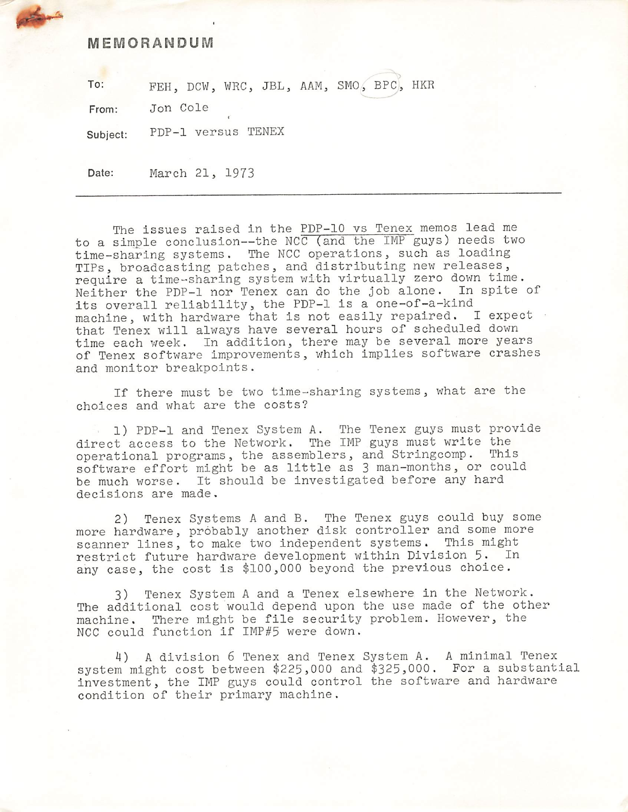## MEMORANDUM

To: FEH, DCW, WRC, JBL, AAM, SMO, BPC, HKR

From: Jon Cole

Subject: PDP-1 versus TENEX

Date: March 21, 1973

The issues raised in the PDP-10 vs Tenex memos lead me to a simple conclusion—the NCC (and the IMP guys) needs two time-sharing systems. The NCC operations, such as loading TIPs, broadcasting patches, and distributing new releases, require a time-sharing system with virtually zero down time. Neither the PDP-1 nor Tenex can do the job alone. In spite of its overall reliability, the PDP-1 is a one-of-a-kind machine, with hardware that is not easily repaired. I expect that Tenex will always have several hours of scheduled down time each week. In addition, there may be several more years of Tenex software improvements, which implies software crashes and monitor breakpoints .

If there must be two time-sharing systems, what are the choices and what are the costs?

1) PDP-1 and Tenex System A. The Tenex guys must provide direct access to the Network. The IMP guys must write the operational programs, the assemblers, and Stringcomp. This software effort might be as little as 3 man-months, or could be much worse. It should be investigated before any hard decisions are made.

2) Tenex Systems A and B. The Tenex guys could buy some more hardware, probably another disk controller and some more scanner lines, to make two independent systems. This might restrict future hardware development within Division 5. In any case, the cost is \$100,000 beyond the previous choice.

3) Tenex System A and a Tenex elsewhere in the Network. The additional cost would depend upon the use made of the other machine. There might be file security problem. However, the NCC could function if IMP#5 were down.

4) A division 6 Tenex and Tenex System A. A minimal Tenex system might cost between \$225,000 and \$325,000. For a substantial investment, the IMP guys could control the software and hardware condition of their primary machine.